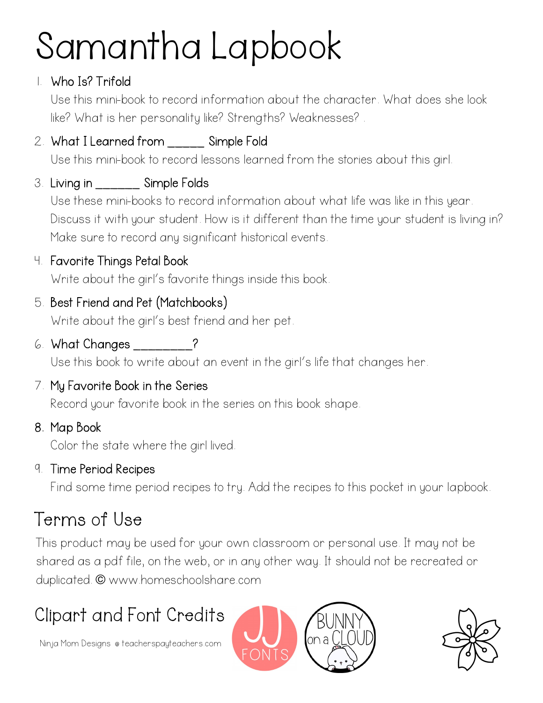# Samantha Lapbook

### 1. Who Is? Trifold

Use this mini-book to record information about the character. What does she look like? What is her personality like? Strengths? Weaknesses? .

## 2. What I Learned from Simple Fold

Use this mini-book to record lessons learned from the stories about this girl.

## 3. Living in \_\_\_\_\_\_ Simple Folds

Use these mini-books to record information about what life was like in this year. Discuss it with your student. How is it different than the time your student is living in? Make sure to record any significant historical events.

## 4. Favorite Things Petal Book

Write about the girl's favorite things inside this book.

## 5. Best Friend and Pet (Matchbooks)

Write about the girl's best friend and her pet.

6. What Changes \_\_\_\_\_\_\_\_?

Use this book to write about an event in the girl's life that changes her.

#### 7. My Favorite Book in the Series

Record your favorite book in the series on this book shape.

8. Map Book

Color the state where the girl lived.

9. Time Period Recipes

Find some time period recipes to try. Add the recipes to this pocket in your lapbook.

## Terms of Use

This product may be used for your own classroom or personal use. It may not be shared as a pdf file, on the web, or in any other way. It should not be recreated or duplicated. © www.homeschoolshare.com

## Clipart and Font Credits

Ninja Mom Designs @ teacherspayteachers.com



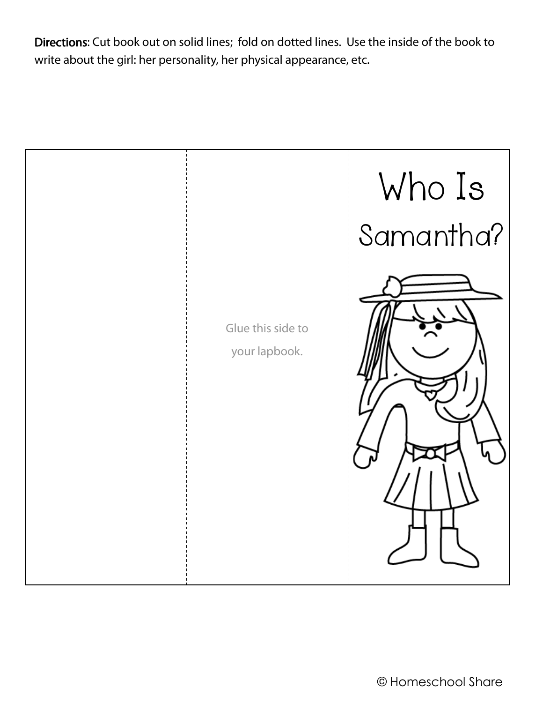Directions: Cut book out on solid lines; fold on dotted lines. Use the inside of the book to write about the girl: her personality, her physical appearance, etc.

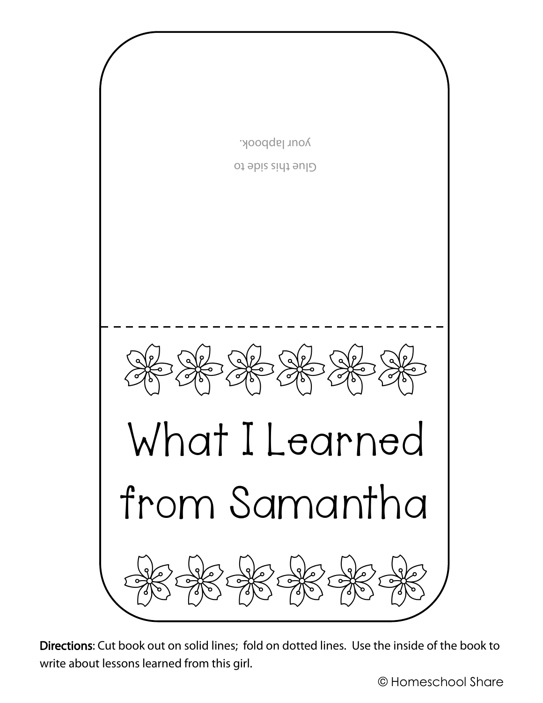

Directions: Cut book out on solid lines; fold on dotted lines. Use the inside of the book to write about lessons learned from this girl.

© Homeschool Share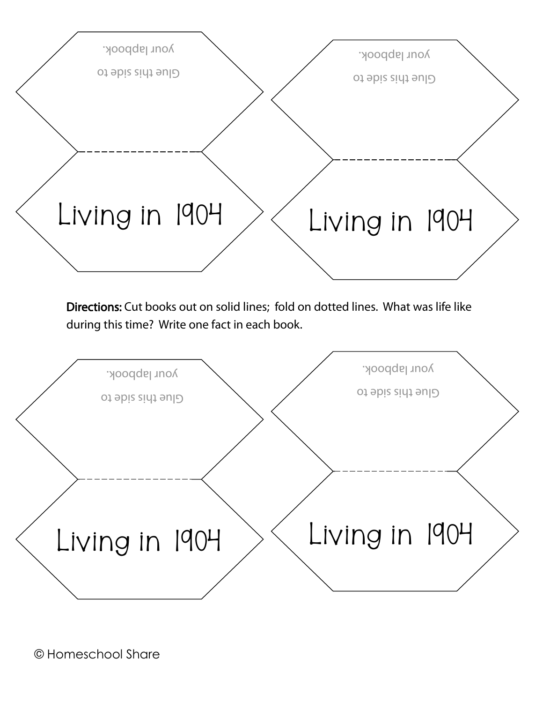

Directions: Cut books out on solid lines; fold on dotted lines. What was life like during this time? Write one fact in each book.

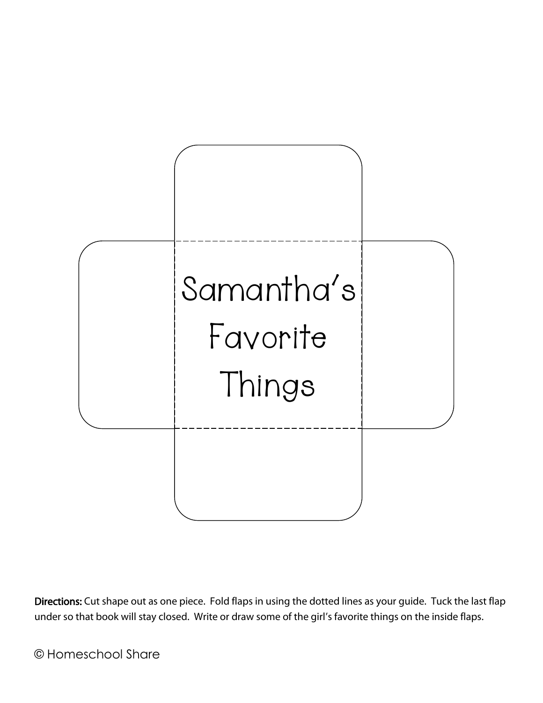

Directions: Cut shape out as one piece. Fold flaps in using the dotted lines as your guide. Tuck the last flap under so that book will stay closed. Write or draw some of the girl's favorite things on the inside flaps.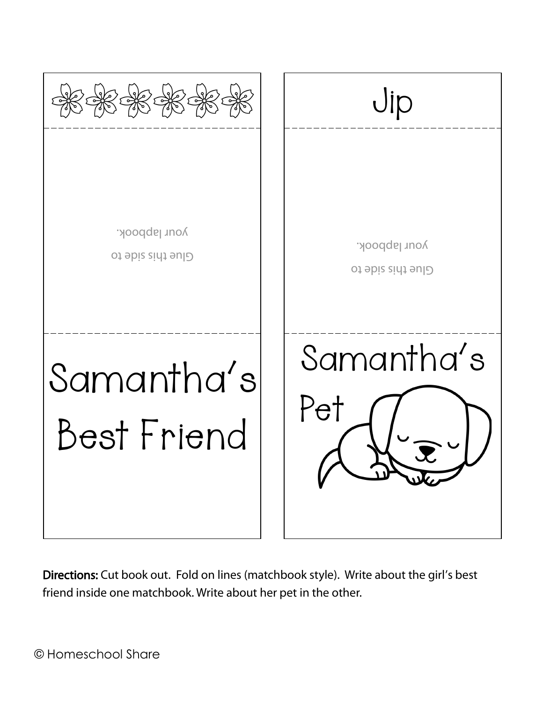

Directions: Cut book out. Fold on lines (matchbook style). Write about the girl's best friend inside one matchbook. Write about her pet in the other.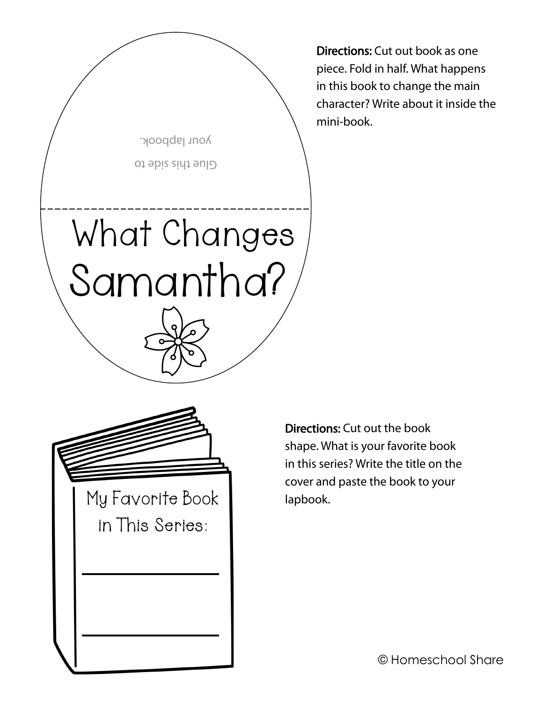

Directions: Cut out book as one piece. Fold in half. What happens in this book to change the main character? Write about it inside the mini-book.



Directions: Cut out the book shape. What is your favorite book in this series? Write the title on the cover and paste the book to your lapbook.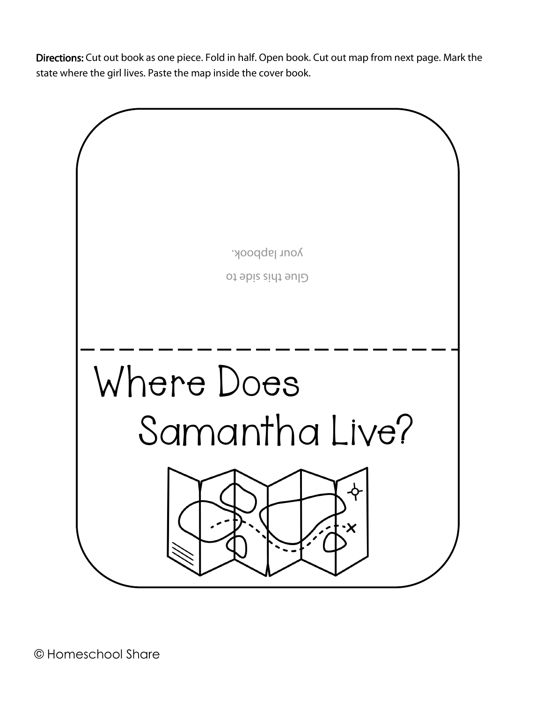Directions: Cut out book as one piece. Fold in half. Open book. Cut out map from next page. Mark the state where the girl lives. Paste the map inside the cover book.